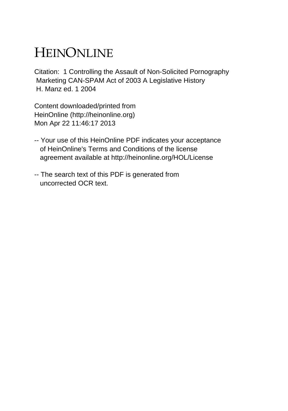# HEINONLINE

Citation: 1 Controlling the Assault of Non-Solicited Pornography Marketing CAN-SPAM Act of 2003 A Legislative History H. Manz ed. 1 2004

Content downloaded/printed from HeinOnline (http://heinonline.org) Mon Apr 22 11:46:17 2013

- -- Your use of this HeinOnline PDF indicates your acceptance of HeinOnline's Terms and Conditions of the license agreement available at http://heinonline.org/HOL/License
- -- The search text of this PDF is generated from uncorrected OCR text.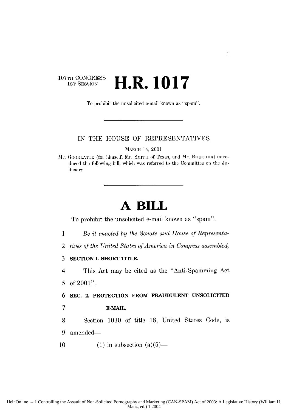### **107TH CONGRESS**<br>**1ST SESSION** 1ST SESSION H .R. **1017**

To prohibit the unsolicited e-mail known as "spam".

### **IN** THE HOUSE OF REPRESENTATIVES

MARCH 14, 2001

Mr. GOODLATTE (for himself, Mr. SMITH of Texas, and Mr. BOUCHER) introduced the following bill; which was referred to the Committee on the Judiciary

## **A BILL**

To prohibit the unsolicited e-mail known as "spam".

- *1 Be it enacted by the Senate and House of Representa-*
- 2 *tives* of *the United States of America in Congress assembled,*

**3 SECTION 1. SHORT TITLE.**

4 This Act may be cited as the "Anti-Spamming Act"

*5* of 2001".

**6 SEC. 2. PROTECTION FROM FRAUDULENT UNSOLICITED**

- **7 E-MAIL.**
- 8 Section 1030 of title 18, United States Code, is 9 amended-
- 10 (1) in subsection  $(a)(5)$ —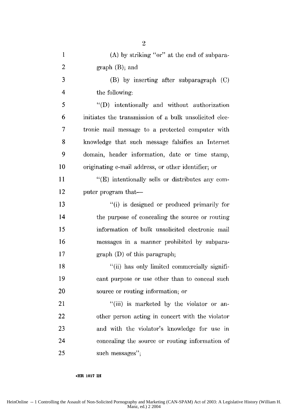| $\mathbf{1}$ | $(A)$ by striking "or" at the end of subpara-          |
|--------------|--------------------------------------------------------|
| 2            | $graph(B);$ and                                        |
| 3            | (B) by inserting after subparagraph (C)                |
| 4            | the following:                                         |
| 5            | "(D) intentionally and without authorization           |
| 6            | initiates the transmission of a bulk unsolicited elec- |
| 7            | tronic mail message to a protected computer with       |
| 8            | knowledge that such message falsifies an Internet      |
| 9            | domain, header information, date or time stamp,        |
| 10           | originating e-mail address, or other identifier; or    |
| 11           | "(E) intentionally sells or distributes any com-       |
| 12           | puter program that—                                    |
| 13           | "(i) is designed or produced primarily for             |
| 14           | the purpose of concealing the source or routing        |
| 15           | information of bulk unsolicited electronic mail        |
| 16           | messages in a manner prohibited by subpara-            |
| 17           | $graph$ (D) of this paragraph;                         |
| 18           | "(ii) has only limited commercially signifi-           |
| 19           | cant purpose or use other than to conceal such         |
| 20           | source or routing information; or                      |
| 21           | "(iii) is marketed by the violator or an-              |
| 22           | other person acting in concert with the violator       |
| 23           | and with the violator's knowledge for use in           |
| 24           | concealing the source or routing information of        |
| 25           | such messages";                                        |

**• IHR 1017 IH**

HeinOnline -- 1 Controlling the Assault of Non-Solicited Pornography and Marketing (CAN-SPAM) Act of 2003: A Legislative History (William H. Manz, ed.) 2 2004

2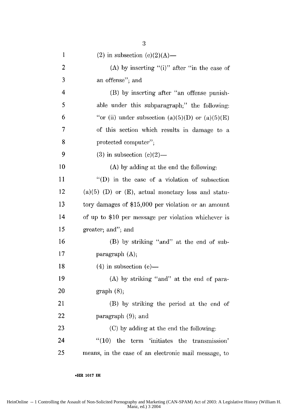|              | 3                                                       |
|--------------|---------------------------------------------------------|
| $\mathbf{1}$ | (2) in subsection (c)(2)(A)—                            |
| 2            | (A) by inserting " $(i)$ " after "in the case of        |
| 3            | an offense"; and                                        |
| 4            | (B) by inserting after "an offense punish-              |
| 5            | able under this subparagraph;" the following:           |
| 6            | "or (ii) under subsection (a)(5)(D) or (a)(5)(E)        |
| 7            | of this section which results in damage to a            |
| 8            | protected computer";                                    |
| 9            | $(3)$ in subsection $(c)(2)$ —                          |
| 10           | (A) by adding at the end the following:                 |
| 11           | "(D) in the case of a violation of subsection           |
| 12           | $(a)(5)$ (D) or $(E)$ , actual monetary loss and statu- |
| 13           | tory damages of \$15,000 per violation or an amount     |
| 14           | of up to \$10 per message per violation whichever is    |
| 15           | greater; and"; and                                      |
| 16           | (B) by striking "and" at the end of sub-                |
| 17           | paragraph $(A)$ ;                                       |
| 18           | $(4)$ in subsection (e)—                                |
| 19           | $(A)$ by striking "and" at the end of para-             |
| 20           | graph(8);                                               |
| 21           | (B) by striking the period at the end of                |
| 22           | paragraph $(9)$ ; and                                   |
| 23           | (C) by adding at the end the following:                 |
| 24           | $"(10)$ the term 'initiates the transmission'           |
| 25           | means, in the case of an electronic mail message, to    |

**.HR 1017 IH**

HeinOnline -- 1 Controlling the Assault of Non-Solicited Pornography and Marketing (CAN-SPAM) Act of 2003: A Legislative History (William H. Manz, ed.) 3 2004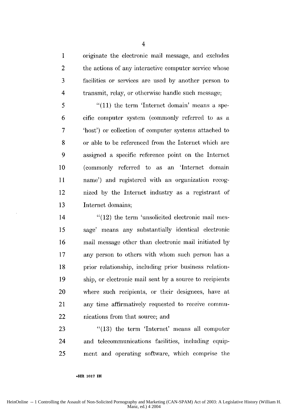1 originate the electronic mail message, and excludes 2 the actions of any interactive computer service whose 3 facilities or services are used by another person to 4 transmit, relay, or otherwise handle such message;

5 "(11) the term 'Internet domain' means a spe-6 cific computer system (conmonly referred to as a 7 'host') or collection of computer systems attached to 8 or able to be referenced from the Internet which are 9 assigned a specific reference point on the Internet 10 (commonly referred to as an 'Internet domain 11 name') and registered with an organization recog-12 nized by the Internet industry as a registrant of 13 Internet domains;

 $(12)$  the term 'unsolicited electronic mail mes-15 sage' means any substantially identical electronic 16 mail message other than electronic mail initiated by 17 any person to others with whom such person has a 18 prior relationship, including prior business relation-19 ship, or electronic mail sent **by** a source to recipients 20 where such recipients, or their designees, have at 21 any time affirmatively requested to receive commu-22 nications from that source; and

23 **"(13)** the term 'Internet' means all compute' 24 and telecommunications facilities, including equip-25 ment and operating software, which comprise the

#### **-HR 1017 IH**

4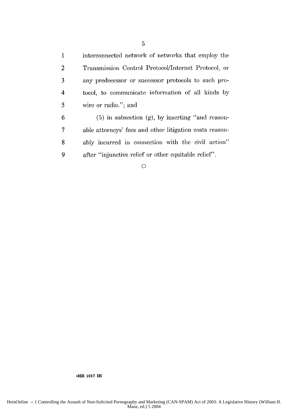1 interconnected network of networks that employ the 2 Transmission Control Protocol/Internet Protocol, or 3 any predecessor or successor protocols to such pro-4 tocol, to communicate information of all kinds **by** *5* wire or radio."; and

6 (5) in subsection (g), by inserting "aud reason-7 able attorneys' fees and other litigation costs reason-8 ably incurred in connection with the civil action" 9 after "injunctive relief or other equitable relief".

**0**

**\*HR 1017 IH**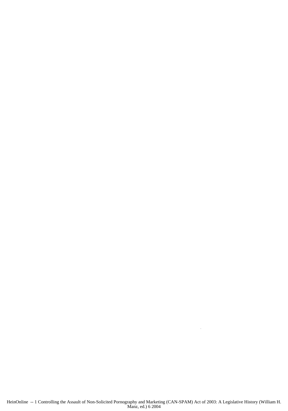HeinOnline -- 1 Controlling the Assault of Non-Solicited Pornography and Marketing (CAN-SPAM) Act of 2003: A Legislative History (William H. Manz, ed.) 6 2004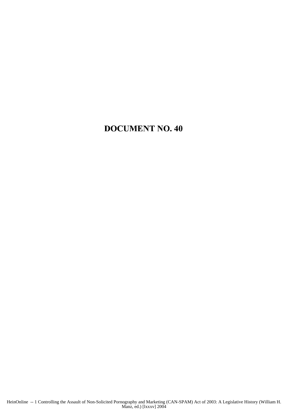### **DOCUMENT NO.** 40